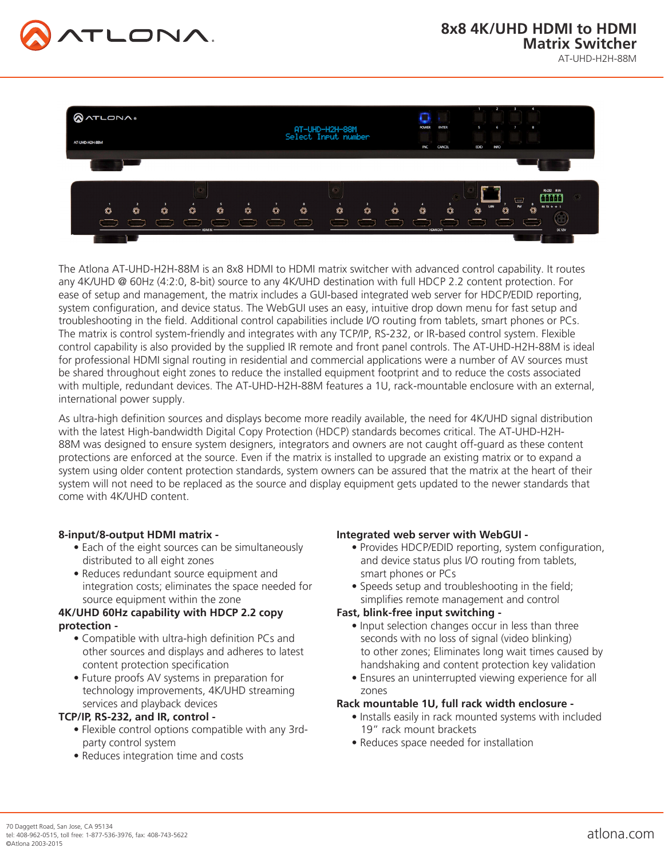



The Atlona AT-UHD-H2H-88M is an 8x8 HDMI to HDMI matrix switcher with advanced control capability. It routes any 4K/UHD @ 60Hz (4:2:0, 8-bit) source to any 4K/UHD destination with full HDCP 2.2 content protection. For ease of setup and management, the matrix includes a GUI-based integrated web server for HDCP/EDID reporting, system configuration, and device status. The WebGUI uses an easy, intuitive drop down menu for fast setup and troubleshooting in the field. Additional control capabilities include I/O routing from tablets, smart phones or PCs. The matrix is control system-friendly and integrates with any TCP/IP, RS-232, or IR-based control system. Flexible control capability is also provided by the supplied IR remote and front panel controls. The AT-UHD-H2H-88M is ideal for professional HDMI signal routing in residential and commercial applications were a number of AV sources must be shared throughout eight zones to reduce the installed equipment footprint and to reduce the costs associated with multiple, redundant devices. The AT-UHD-H2H-88M features a 1U, rack-mountable enclosure with an external, international power supply.

As ultra-high definition sources and displays become more readily available, the need for 4K/UHD signal distribution with the latest High-bandwidth Digital Copy Protection (HDCP) standards becomes critical. The AT-UHD-H2H-88M was designed to ensure system designers, integrators and owners are not caught off-guard as these content protections are enforced at the source. Even if the matrix is installed to upgrade an existing matrix or to expand a system using older content protection standards, system owners can be assured that the matrix at the heart of their system will not need to be replaced as the source and display equipment gets updated to the newer standards that come with 4K/UHD content.

### **8-input/8-output HDMI matrix -**

- Each of the eight sources can be simultaneously distributed to all eight zones
- Reduces redundant source equipment and integration costs; eliminates the space needed for source equipment within the zone

### **4K/UHD 60Hz capability with HDCP 2.2 copy protection -**

- Compatible with ultra-high definition PCs and other sources and displays and adheres to latest content protection specification
- Future proofs AV systems in preparation for technology improvements, 4K/UHD streaming services and playback devices

### **TCP/IP, RS-232, and IR, control -**

- Flexible control options compatible with any 3rd party control system
- Reduces integration time and costs

### **Integrated web server with WebGUI -**

- Provides HDCP/EDID reporting, system configuration, and device status plus I/O routing from tablets, smart phones or PCs
- Speeds setup and troubleshooting in the field; simplifies remote management and control

# **Fast, blink-free input switching -**

- Input selection changes occur in less than three seconds with no loss of signal (video blinking) to other zones; Eliminates long wait times caused by handshaking and content protection key validation
- Ensures an uninterrupted viewing experience for all zones

# **Rack mountable 1U, full rack width enclosure -**

- Installs easily in rack mounted systems with included 19" rack mount brackets
- Reduces space needed for installation